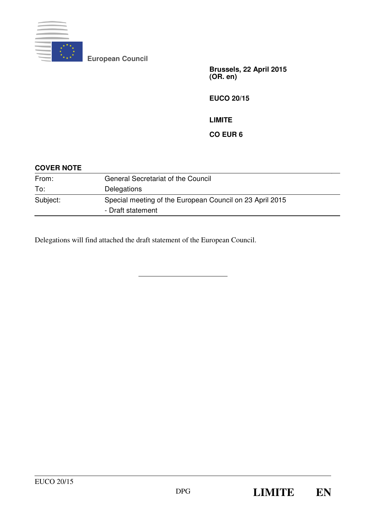

**European Council** 

**Brussels, 22 April 2015 (OR. en)** 

**EUCO 20/15** 

**LIMITE** 

**CO EUR 6** 

| <b>COVER NOTE</b> |                                                                               |
|-------------------|-------------------------------------------------------------------------------|
| From:             | General Secretariat of the Council                                            |
| To:               | Delegations                                                                   |
| Subject:          | Special meeting of the European Council on 23 April 2015<br>- Draft statement |

Delegations will find attached the draft statement of the European Council.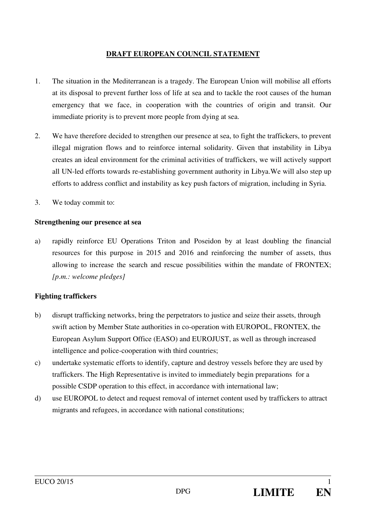#### **DRAFT EUROPEAN COUNCIL STATEMENT**

- 1. The situation in the Mediterranean is a tragedy. The European Union will mobilise all efforts at its disposal to prevent further loss of life at sea and to tackle the root causes of the human emergency that we face, in cooperation with the countries of origin and transit. Our immediate priority is to prevent more people from dying at sea.
- 2. We have therefore decided to strengthen our presence at sea, to fight the traffickers, to prevent illegal migration flows and to reinforce internal solidarity. Given that instability in Libya creates an ideal environment for the criminal activities of traffickers, we will actively support all UN-led efforts towards re-establishing government authority in Libya.We will also step up efforts to address conflict and instability as key push factors of migration, including in Syria.
- 3. We today commit to:

### **Strengthening our presence at sea**

a) rapidly reinforce EU Operations Triton and Poseidon by at least doubling the financial resources for this purpose in 2015 and 2016 and reinforcing the number of assets, thus allowing to increase the search and rescue possibilities within the mandate of FRONTEX; *[p.m.: welcome pledges]*

# **Fighting traffickers**

- b) disrupt trafficking networks, bring the perpetrators to justice and seize their assets, through swift action by Member State authorities in co-operation with EUROPOL, FRONTEX, the European Asylum Support Office (EASO) and EUROJUST, as well as through increased intelligence and police-cooperation with third countries;
- c) undertake systematic efforts to identify, capture and destroy vessels before they are used by traffickers. The High Representative is invited to immediately begin preparations for a possible CSDP operation to this effect, in accordance with international law;
- d) use EUROPOL to detect and request removal of internet content used by traffickers to attract migrants and refugees, in accordance with national constitutions;